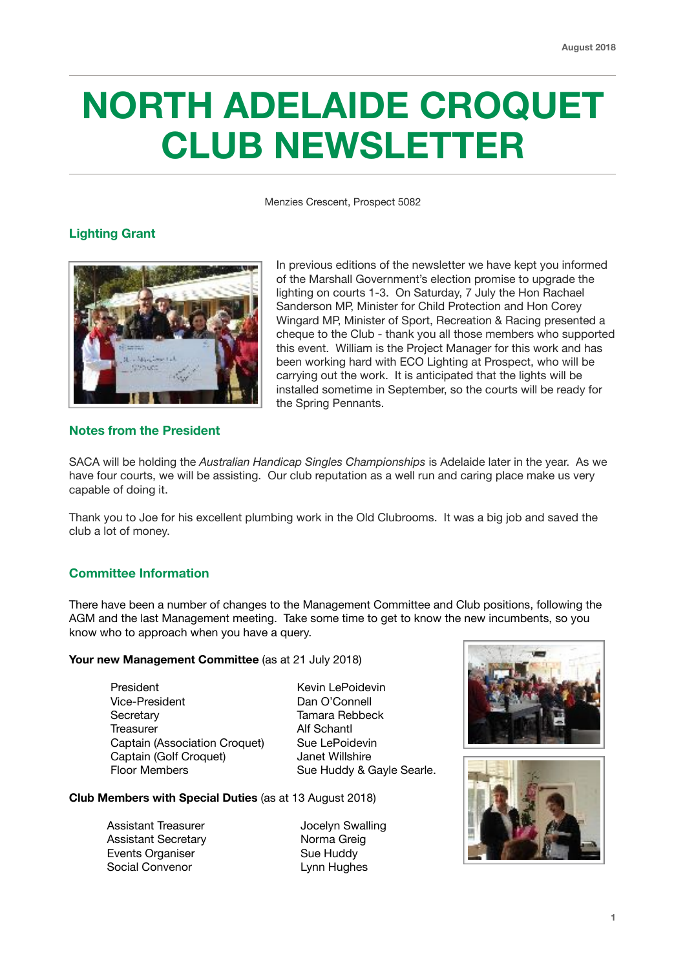# **NORTH ADELAIDE CROQUET CLUB NEWSLETTER**

Menzies Crescent, Prospect 5082

# **Lighting Grant**



In previous editions of the newsletter we have kept you informed of the Marshall Government's election promise to upgrade the lighting on courts 1-3. On Saturday, 7 July the Hon Rachael Sanderson MP, Minister for Child Protection and Hon Corey Wingard MP, Minister of Sport, Recreation & Racing presented a cheque to the Club - thank you all those members who supported this event. William is the Project Manager for this work and has been working hard with ECO Lighting at Prospect, who will be carrying out the work. It is anticipated that the lights will be installed sometime in September, so the courts will be ready for the Spring Pennants.

# **Notes from the President**

SACA will be holding the *Australian Handicap Singles Championships* is Adelaide later in the year. As we have four courts, we will be assisting. Our club reputation as a well run and caring place make us very capable of doing it.

Thank you to Joe for his excellent plumbing work in the Old Clubrooms. It was a big job and saved the club a lot of money.

# **Committee Information**

There have been a number of changes to the Management Committee and Club positions, following the AGM and the last Management meeting. Take some time to get to know the new incumbents, so you know who to approach when you have a query.

**Your new Management Committee** (as at 21 July 2018)

President **Kevin LePoidevin** Vice-President Dan O'Connell Secretary Tamara Rebbeck Treasurer **Alf Schantl** Captain (Association Croquet) Sue LePoidevin Captain (Golf Croquet) Janet Willshire Floor Members Sue Huddy & Gayle Searle.



Assistant Treasurer **Internal Stuart Stuart Assistant Treasurer** Jocelyn Swalling Assistant Secretary **Norma Greig** Events Organiser **Sue Huddy** Sue Huddy Social Convenor **Lynn Hughes** 



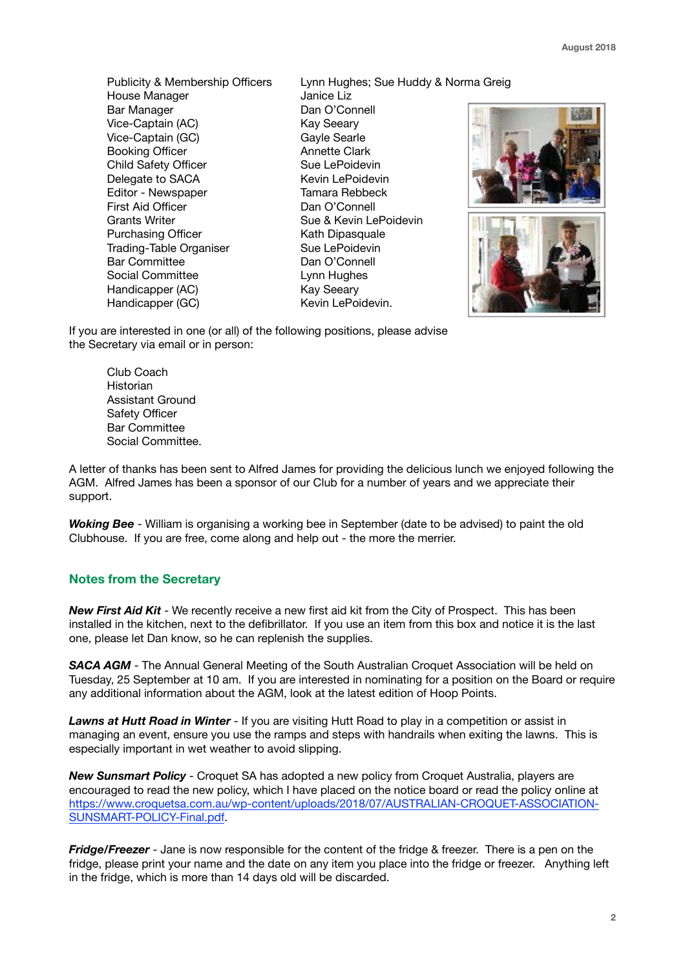**August 2018**

House Manager **Janice Liz** Bar Manager **Dan O'Connell** Vice-Captain (AC) Kay Seeary Vice-Captain (GC) Gayle Searle Booking Officer **Annette Clark** Child Safety Officer Sue LePoidevin Delegate to SACA Kevin LePoidevin Editor - Newspaper Tamara Rebbeck First Aid Officer **Dan O'Connell** Grants Writer **Sue & Kevin LePoidevin** Purchasing Officer **Kath Dipasquale** Trading-Table Organiser Sue LePoidevin Bar Committee Dan O'Connell Social Committee Lynn Hughes Handicapper (AC) Kay Seeary Handicapper (GC) Kevin LePoidevin.

Publicity & Membership Officers Lynn Hughes; Sue Huddy & Norma Greig



If you are interested in one (or all) of the following positions, please advise the Secretary via email or in person:

> Club Coach Historian Assistant Ground Safety Officer Bar Committee Social Committee.

A letter of thanks has been sent to Alfred James for providing the delicious lunch we enjoyed following the AGM. Alfred James has been a sponsor of our Club for a number of years and we appreciate their support.

*Woking Bee* - William is organising a working bee in September (date to be advised) to paint the old Clubhouse. If you are free, come along and help out - the more the merrier.

## **Notes from the Secretary**

*New First Aid Kit* - We recently receive a new first aid kit from the City of Prospect. This has been installed in the kitchen, next to the defibrillator. If you use an item from this box and notice it is the last one, please let Dan know, so he can replenish the supplies.

*SACA AGM* - The Annual General Meeting of the South Australian Croquet Association will be held on Tuesday, 25 September at 10 am. If you are interested in nominating for a position on the Board or require any additional information about the AGM, look at the latest edition of Hoop Points.

*Lawns at Hutt Road in Winter* - If you are visiting Hutt Road to play in a competition or assist in managing an event, ensure you use the ramps and steps with handrails when exiting the lawns. This is especially important in wet weather to avoid slipping.

*New Sunsmart Policy* - Croquet SA has adopted a new policy from Croquet Australia, players are encouraged to read the new policy, which I have placed on the notice board or read the policy online at [https://www.croquetsa.com.au/wp-content/uploads/2018/07/AUSTRALIAN-CROQUET-ASSOCIATION-](https://www.croquetsa.com.au/wp-content/uploads/2018/07/AUSTRALIAN-CROQUET-ASSOCIATION-SUNSMART-POLICY-Final.pdf)[SUNSMART-POLICY-Final.pdf](https://www.croquetsa.com.au/wp-content/uploads/2018/07/AUSTRALIAN-CROQUET-ASSOCIATION-SUNSMART-POLICY-Final.pdf).

*Fridge/Freezer* - Jane is now responsible for the content of the fridge & freezer. There is a pen on the fridge, please print your name and the date on any item you place into the fridge or freezer. Anything left in the fridge, which is more than 14 days old will be discarded.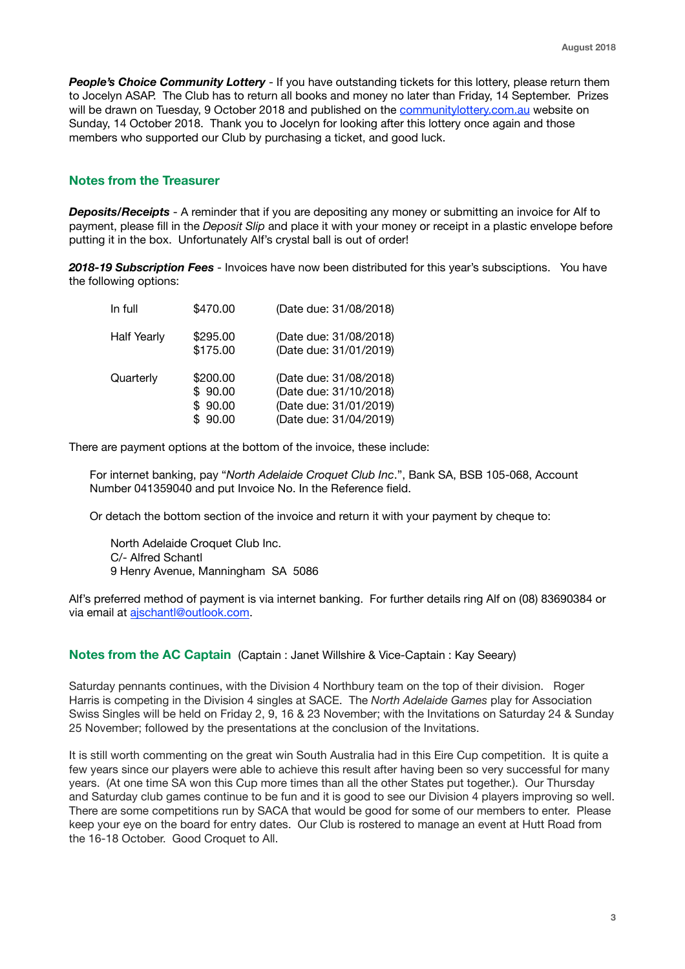**People's Choice Community Lottery** - If you have outstanding tickets for this lottery, please return them to Jocelyn ASAP. The Club has to return all books and money no later than Friday, 14 September. Prizes will be drawn on Tuesday, 9 October 2018 and published on the [communitylottery.com.au](http://communitylottery.com.au) website on Sunday, 14 October 2018. Thank you to Jocelyn for looking after this lottery once again and those members who supported our Club by purchasing a ticket, and good luck.

# **Notes from the Treasurer**

*Deposits/Receipts* - A reminder that if you are depositing any money or submitting an invoice for Alf to payment, please fill in the *Deposit Slip* and place it with your money or receipt in a plastic envelope before putting it in the box. Unfortunately Alf's crystal ball is out of order!

*2018-19 Subscription Fees* - Invoices have now been distributed for this year's subsciptions. You have the following options:

| In full            | \$470.00                                  | (Date due: 31/08/2018)                                                                               |
|--------------------|-------------------------------------------|------------------------------------------------------------------------------------------------------|
| <b>Half Yearly</b> | \$295.00<br>\$175.00                      | (Date due: 31/08/2018)<br>(Date due: 31/01/2019)                                                     |
| Quarterly          | \$200.00<br>\$90.00<br>\$90.00<br>\$90.00 | (Date due: 31/08/2018)<br>(Date due: 31/10/2018)<br>(Date due: 31/01/2019)<br>(Date due: 31/04/2019) |

There are payment options at the bottom of the invoice, these include:

For internet banking, pay "*North Adelaide Croquet Club Inc*.", Bank SA, BSB 105-068, Account Number 041359040 and put Invoice No. In the Reference field.

Or detach the bottom section of the invoice and return it with your payment by cheque to:

North Adelaide Croquet Club Inc. C/- Alfred Schantl 9 Henry Avenue, Manningham SA 5086

Alf's preferred method of payment is via internet banking. For further details ring Alf on (08) 83690384 or via email at [ajschantl@outlook.com.](mailto:ajschantl@outlook.com)

#### **Notes from the AC Captain** (Captain : Janet Willshire & Vice-Captain : Kay Seeary)

Saturday pennants continues, with the Division 4 Northbury team on the top of their division. Roger Harris is competing in the Division 4 singles at SACE. The *North Adelaide Games* play for Association Swiss Singles will be held on Friday 2, 9, 16 & 23 November; with the Invitations on Saturday 24 & Sunday 25 November; followed by the presentations at the conclusion of the Invitations.

It is still worth commenting on the great win South Australia had in this Eire Cup competition. It is quite a few years since our players were able to achieve this result after having been so very successful for many years. (At one time SA won this Cup more times than all the other States put together.). Our Thursday and Saturday club games continue to be fun and it is good to see our Division 4 players improving so well. There are some competitions run by SACA that would be good for some of our members to enter. Please keep your eye on the board for entry dates. Our Club is rostered to manage an event at Hutt Road from the 16-18 October. Good Croquet to All.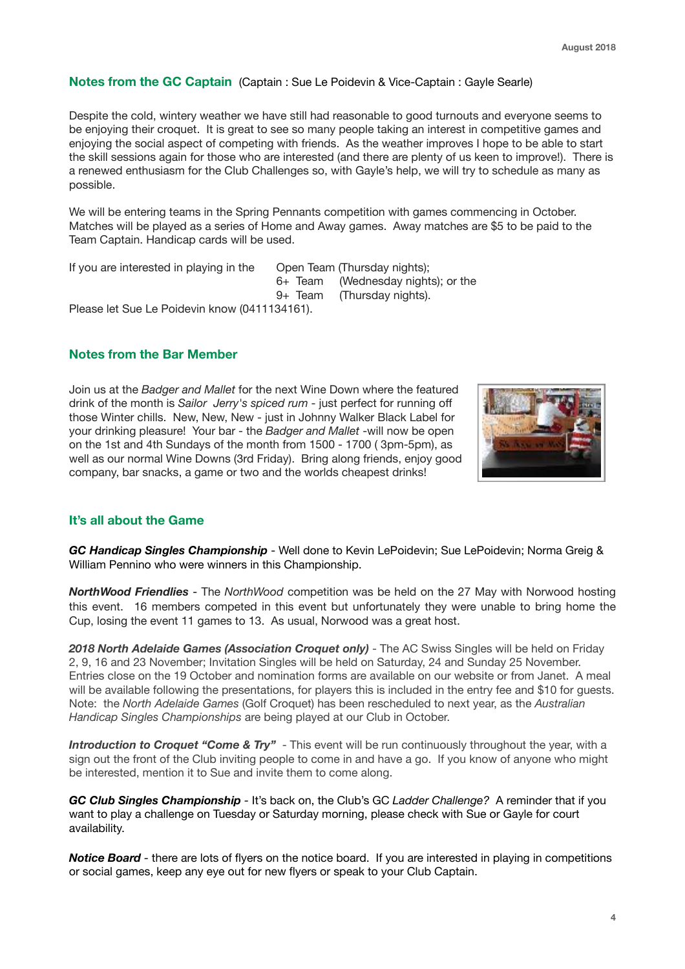## **Notes from the GC Captain** (Captain : Sue Le Poidevin & Vice-Captain : Gayle Searle)

Despite the cold, wintery weather we have still had reasonable to good turnouts and everyone seems to be enjoying their croquet. It is great to see so many people taking an interest in competitive games and enjoying the social aspect of competing with friends. As the weather improves I hope to be able to start the skill sessions again for those who are interested (and there are plenty of us keen to improve!). There is a renewed enthusiasm for the Club Challenges so, with Gayle's help, we will try to schedule as many as possible.

We will be entering teams in the Spring Pennants competition with games commencing in October. Matches will be played as a series of Home and Away games. Away matches are \$5 to be paid to the Team Captain. Handicap cards will be used.

If you are interested in playing in the Open Team (Thursday nights);

 6+ Team (Wednesday nights); or the

 9+ Team (Thursday nights).

Please let Sue Le Poidevin know (0411134161).

# **Notes from the Bar Member**

Join us at the *Badger and Mallet* for the next Wine Down where the featured drink of the month is *Sailor Jerry's spiced rum* - just perfect for running off those Winter chills. New, New, New - just in Johnny Walker Black Label for your drinking pleasure! Your bar - the *Badger and Mallet* -will now be open on the 1st and 4th Sundays of the month from 1500 - 1700 ( 3pm-5pm), as well as our normal Wine Downs (3rd Friday). Bring along friends, enjoy good company, bar snacks, a game or two and the worlds cheapest drinks!



#### **It's all about the Game**

*GC Handicap Singles Championship* - Well done to Kevin LePoidevin; Sue LePoidevin; Norma Greig & William Pennino who were winners in this Championship.

*NorthWood Friendlies* - The *NorthWood* competition was be held on the 27 May with Norwood hosting this event. 16 members competed in this event but unfortunately they were unable to bring home the Cup, losing the event 11 games to 13. As usual, Norwood was a great host.

*2018 North Adelaide Games (Association Croquet only)* - The AC Swiss Singles will be held on Friday 2, 9, 16 and 23 November; Invitation Singles will be held on Saturday, 24 and Sunday 25 November. Entries close on the 19 October and nomination forms are available on our website or from Janet. A meal will be available following the presentations, for players this is included in the entry fee and \$10 for guests. Note: the *North Adelaide Games* (Golf Croquet) has been rescheduled to next year, as the *Australian Handicap Singles Championships* are being played at our Club in October.

**Introduction to Croquet "Come & Try"** - This event will be run continuously throughout the year, with a sign out the front of the Club inviting people to come in and have a go. If you know of anyone who might be interested, mention it to Sue and invite them to come along.

*GC Club Singles Championship -* It's back on, the Club's GC *Ladder Challenge?* A reminder that if you want to play a challenge on Tuesday or Saturday morning, please check with Sue or Gayle for court availability.

*Notice Board* - there are lots of flyers on the notice board. If you are interested in playing in competitions or social games, keep any eye out for new flyers or speak to your Club Captain.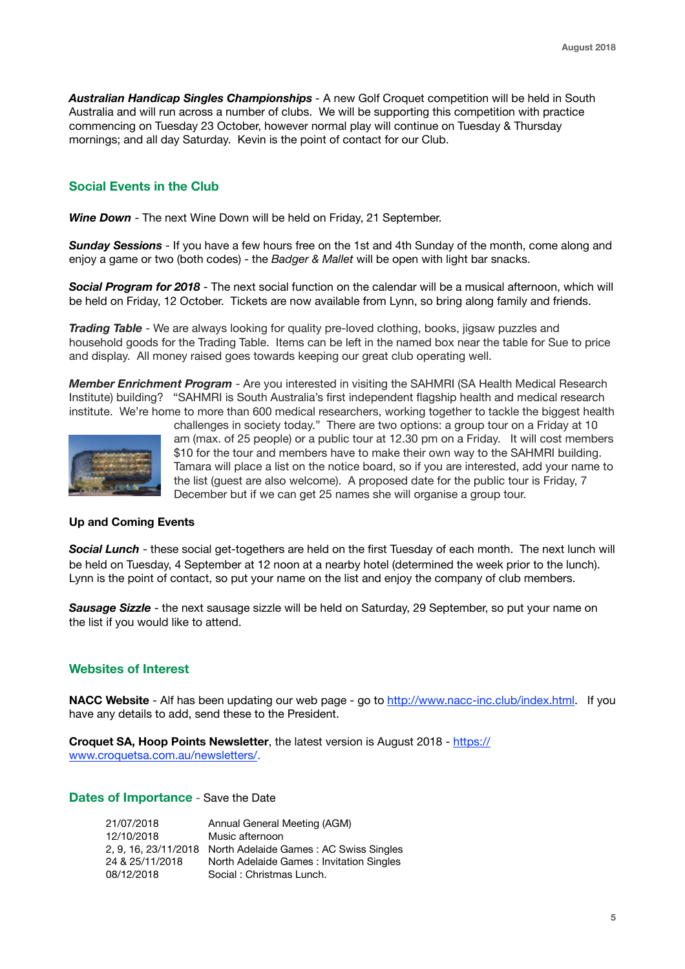*Australian Handicap Singles Championships -* A new Golf Croquet competition will be held in South Australia and will run across a number of clubs. We will be supporting this competition with practice commencing on Tuesday 23 October, however normal play will continue on Tuesday & Thursday mornings; and all day Saturday. Kevin is the point of contact for our Club.

# **Social Events in the Club**

*Wine Down* - The next Wine Down will be held on Friday, 21 September.

*Sunday Sessions* - If you have a few hours free on the 1st and 4th Sunday of the month, come along and enjoy a game or two (both codes) - the *Badger & Mallet* will be open with light bar snacks.

*Social Program for 2018* - The next social function on the calendar will be a musical afternoon, which will be held on Friday, 12 October. Tickets are now available from Lynn, so bring along family and friends.

*Trading Table* - We are always looking for quality pre-loved clothing, books, jigsaw puzzles and household goods for the Trading Table. Items can be left in the named box near the table for Sue to price and display. All money raised goes towards keeping our great club operating well.

*Member Enrichment Program* - Are you interested in visiting the SAHMRI (SA Health Medical Research Institute) building? "SAHMRI is South Australia's first independent flagship health and medical research institute. We're home to more than 600 medical researchers, working together to tackle the biggest health



challenges in society today." There are two options: a group tour on a Friday at 10 am (max. of 25 people) or a public tour at 12.30 pm on a Friday. It will cost members \$10 for the tour and members have to make their own way to the SAHMRI building. Tamara will place a list on the notice board, so if you are interested, add your name to the list (guest are also welcome). A proposed date for the public tour is Friday, 7 December but if we can get 25 names she will organise a group tour.

#### **Up and Coming Events**

*Social Lunch* - these social get-togethers are held on the first Tuesday of each month. The next lunch will be held on Tuesday, 4 September at 12 noon at a nearby hotel (determined the week prior to the lunch). Lynn is the point of contact, so put your name on the list and enjoy the company of club members.

**Sausage Sizzle** - the next sausage sizzle will be held on Saturday, 29 September, so put your name on the list if you would like to attend.

#### **Websites of Interest**

**NACC Website** - Alf has been updating our web page - go to <http://www.nacc-inc.club/index.html>. If you have any details to add, send these to the President.

**Croquet SA, Hoop Points Newsletter**, the latest version is August 2018 - [https://](https://www.croquetsa.com.au/newsletters/) [www.croquetsa.com.au/newsletters/.](https://www.croquetsa.com.au/newsletters/)

### **Dates of Importance** - Save the Date

| 21/07/2018      | Annual General Meeting (AGM)                                |
|-----------------|-------------------------------------------------------------|
| 12/10/2018      | Music afternoon                                             |
|                 | 2, 9, 16, 23/11/2018 North Adelaide Games: AC Swiss Singles |
| 24 & 25/11/2018 | North Adelaide Games: Invitation Singles                    |
| 08/12/2018      | Social: Christmas Lunch.                                    |